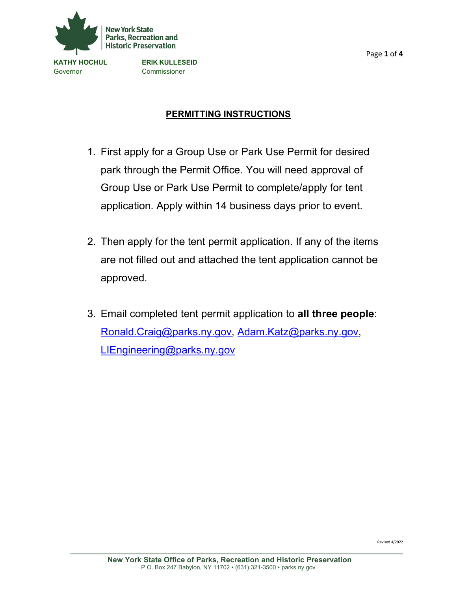

Governor Commissioner

# **PERMITTING INSTRUCTIONS**

- 1. First apply for a Group Use or Park Use Permit for desired park through the Permit Office. You will need approval of Group Use or Park Use Permit to complete/apply for tent application. Apply within 14 business days prior to event.
- 2. Then apply for the tent permit application. If any of the items are not filled out and attached the tent application cannot be approved.
- 3. Email completed tent permit application to **all three people**: [Ronald.Craig@parks.ny.gov,](mailto:Ronald.Craig@parks.ny.gov) Adam.Katz@parks.ny.gov, [LIEngineering@parks.ny.gov](mailto:LIEngineering@parks.ny.gov)

Revised 4/2022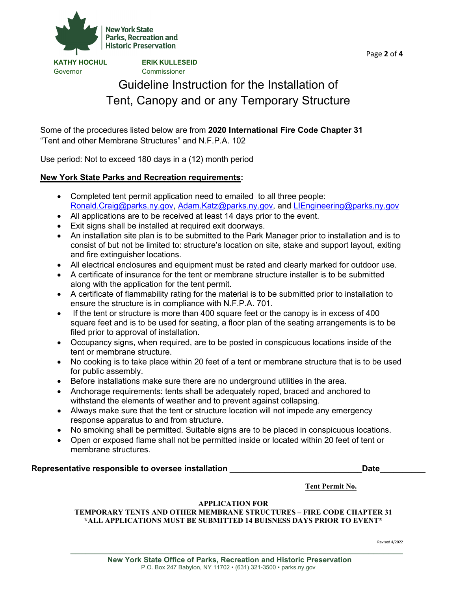

Governor Commissioner

**KATHY HOCHUL ERIK KULLESEID**

# Guideline Instruction for the Installation of Tent, Canopy and or any Temporary Structure

Some of the procedures listed below are from **2020 International Fire Code Chapter 31** "Tent and other Membrane Structures" and N.F.P.A. 102

Use period: Not to exceed 180 days in a (12) month period

## **New York State Parks and Recreation requirements:**

- Completed tent permit application need to emailed to all three people: [Ronald.Craig@parks.ny.gov,](mailto:Ronald.Craig@parks.ny.gov) [Adam.Katz@parks.ny.gov,](mailto:Adam.Katz@parks.ny.gov) and [LIEngineering@parks.ny.gov](mailto:LIEngineering@parks.ny.gov)
- All applications are to be received at least 14 days prior to the event.
- Exit signs shall be installed at required exit doorways.
- An installation site plan is to be submitted to the Park Manager prior to installation and is to consist of but not be limited to: structure's location on site, stake and support layout, exiting and fire extinguisher locations.
- All electrical enclosures and equipment must be rated and clearly marked for outdoor use.
- A certificate of insurance for the tent or membrane structure installer is to be submitted along with the application for the tent permit.
- A certificate of flammability rating for the material is to be submitted prior to installation to ensure the structure is in compliance with N.F.P.A. 701.
- If the tent or structure is more than 400 square feet or the canopy is in excess of 400 square feet and is to be used for seating, a floor plan of the seating arrangements is to be filed prior to approval of installation.
- Occupancy signs, when required, are to be posted in conspicuous locations inside of the tent or membrane structure.
- No cooking is to take place within 20 feet of a tent or membrane structure that is to be used for public assembly.
- Before installations make sure there are no underground utilities in the area.
- Anchorage requirements: tents shall be adequately roped, braced and anchored to withstand the elements of weather and to prevent against collapsing.
- Always make sure that the tent or structure location will not impede any emergency response apparatus to and from structure.
- No smoking shall be permitted. Suitable signs are to be placed in conspicuous locations.
- Open or exposed flame shall not be permitted inside or located within 20 feet of tent or membrane structures.

#### **Representative responsible to oversee installation** \_\_\_\_\_\_\_\_\_\_\_\_\_\_\_\_\_\_\_\_\_\_\_\_\_\_\_\_\_**Date**\_\_\_\_\_\_\_\_\_\_

 **Tent Permit No.**

## **APPLICATION FOR**

**TEMPORARY TENTS AND OTHER MEMBRANE STRUCTURES – FIRE CODE CHAPTER 31 \*ALL APPLICATIONS MUST BE SUBMITTED 14 BUISNESS DAYS PRIOR TO EVENT\***

Revised 4/2022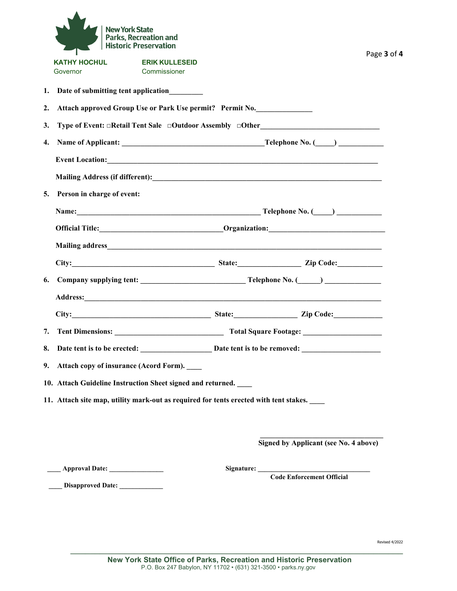|                                 | <b>New York State</b>                               | <b>Parks, Recreation and</b><br>Historic Preservation                                                                                                                                                                          |  |  |                                             | Page 3 of 4 |  |  |  |
|---------------------------------|-----------------------------------------------------|--------------------------------------------------------------------------------------------------------------------------------------------------------------------------------------------------------------------------------|--|--|---------------------------------------------|-------------|--|--|--|
| <b>KATHY HOCHUL</b><br>Governor |                                                     | <b>ERIK KULLESEID</b><br>Commissioner                                                                                                                                                                                          |  |  |                                             |             |  |  |  |
|                                 |                                                     | 1. Date of submitting tent application________                                                                                                                                                                                 |  |  |                                             |             |  |  |  |
| 2.                              |                                                     | Attach approved Group Use or Park Use permit? Permit No.                                                                                                                                                                       |  |  |                                             |             |  |  |  |
| 3.                              |                                                     | Type of Event: □Retail Tent Sale □Outdoor Assembly □Other_______________________                                                                                                                                               |  |  |                                             |             |  |  |  |
| 4.                              |                                                     |                                                                                                                                                                                                                                |  |  |                                             |             |  |  |  |
|                                 |                                                     |                                                                                                                                                                                                                                |  |  |                                             |             |  |  |  |
|                                 |                                                     |                                                                                                                                                                                                                                |  |  |                                             |             |  |  |  |
| 5.                              | Person in charge of event:                          |                                                                                                                                                                                                                                |  |  |                                             |             |  |  |  |
|                                 |                                                     |                                                                                                                                                                                                                                |  |  |                                             |             |  |  |  |
|                                 |                                                     | Official Title: <u>Communication</u> Communication: Communication:                                                                                                                                                             |  |  |                                             |             |  |  |  |
|                                 |                                                     |                                                                                                                                                                                                                                |  |  |                                             |             |  |  |  |
|                                 |                                                     |                                                                                                                                                                                                                                |  |  |                                             |             |  |  |  |
| 6.                              |                                                     |                                                                                                                                                                                                                                |  |  |                                             |             |  |  |  |
|                                 |                                                     | Address: No. 2016. The Commission of the Commission of the Commission of the Commission of the Commission of the Commission of the Commission of the Commission of the Commission of the Commission of the Commission of the C |  |  |                                             |             |  |  |  |
|                                 |                                                     | City: City: City: City: City: City: City: City: City: City: City: City: City: City: City: City: City: City: City: City: City: City: City: City: City: City: City: City: City: City: City: City: City: City: City: City: City:  |  |  |                                             |             |  |  |  |
|                                 | 7. Tent Dimensions:<br><b>Total Square Footage:</b> |                                                                                                                                                                                                                                |  |  |                                             |             |  |  |  |
|                                 |                                                     |                                                                                                                                                                                                                                |  |  |                                             |             |  |  |  |
|                                 |                                                     | 9. Attach copy of insurance (Acord Form).                                                                                                                                                                                      |  |  |                                             |             |  |  |  |
|                                 |                                                     | 10. Attach Guideline Instruction Sheet signed and returned.                                                                                                                                                                    |  |  |                                             |             |  |  |  |
|                                 |                                                     | 11. Attach site map, utility mark-out as required for tents erected with tent stakes.                                                                                                                                          |  |  |                                             |             |  |  |  |
|                                 |                                                     |                                                                                                                                                                                                                                |  |  |                                             |             |  |  |  |
|                                 |                                                     |                                                                                                                                                                                                                                |  |  | Signed by Applicant (see No. 4 above)       |             |  |  |  |
|                                 |                                                     |                                                                                                                                                                                                                                |  |  | Signature: <u>Code Enforcement Official</u> |             |  |  |  |
|                                 | Disapproved Date:                                   |                                                                                                                                                                                                                                |  |  |                                             |             |  |  |  |

\_\_\_\_\_\_\_\_\_\_\_\_\_\_\_\_\_\_\_\_\_\_\_\_\_\_\_\_\_\_\_\_\_\_\_\_\_\_\_\_\_\_\_\_\_\_\_\_\_\_\_\_\_\_\_\_\_\_\_\_\_\_\_\_\_\_\_\_